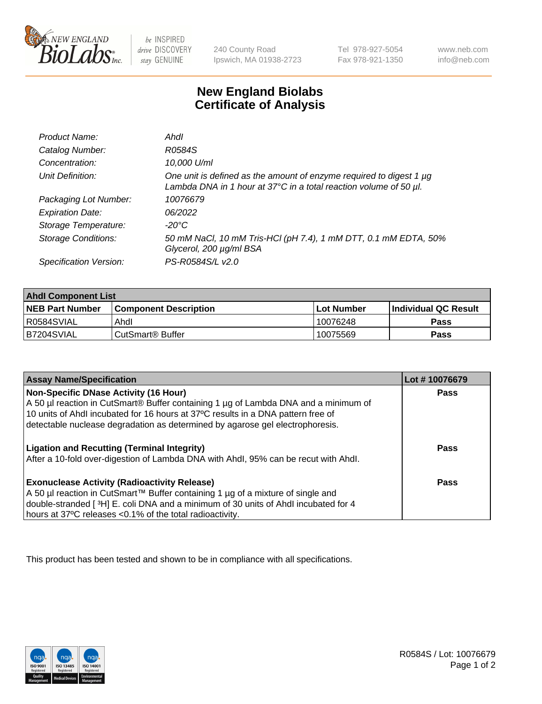

be INSPIRED drive DISCOVERY stay GENUINE

240 County Road Ipswich, MA 01938-2723 Tel 978-927-5054 Fax 978-921-1350

www.neb.com info@neb.com

## **New England Biolabs Certificate of Analysis**

| Product Name:              | Ahdl                                                                                                                                                    |
|----------------------------|---------------------------------------------------------------------------------------------------------------------------------------------------------|
| Catalog Number:            | R0584S                                                                                                                                                  |
| Concentration:             | 10,000 U/ml                                                                                                                                             |
| Unit Definition:           | One unit is defined as the amount of enzyme required to digest 1 µg<br>Lambda DNA in 1 hour at $37^{\circ}$ C in a total reaction volume of 50 $\mu$ l. |
| Packaging Lot Number:      | 10076679                                                                                                                                                |
| <b>Expiration Date:</b>    | 06/2022                                                                                                                                                 |
| Storage Temperature:       | -20°C                                                                                                                                                   |
| <b>Storage Conditions:</b> | 50 mM NaCl, 10 mM Tris-HCl (pH 7.4), 1 mM DTT, 0.1 mM EDTA, 50%<br>Glycerol, 200 µg/ml BSA                                                              |
| Specification Version:     | PS-R0584S/L v2.0                                                                                                                                        |

| <b>Ahdl Component List</b> |                              |              |                             |  |
|----------------------------|------------------------------|--------------|-----------------------------|--|
| <b>NEB Part Number</b>     | <b>Component Description</b> | l Lot Number | <b>Individual QC Result</b> |  |
| R0584SVIAL                 | Ahdl                         | 10076248     | Pass                        |  |
| B7204SVIAL                 | l CutSmart® Buffer           | 10075569     | Pass                        |  |

| <b>Assay Name/Specification</b>                                                     | Lot #10076679 |
|-------------------------------------------------------------------------------------|---------------|
| <b>Non-Specific DNase Activity (16 Hour)</b>                                        | <b>Pass</b>   |
| A 50 µl reaction in CutSmart® Buffer containing 1 µg of Lambda DNA and a minimum of |               |
| 10 units of Ahdl incubated for 16 hours at 37°C results in a DNA pattern free of    |               |
| detectable nuclease degradation as determined by agarose gel electrophoresis.       |               |
|                                                                                     |               |
| <b>Ligation and Recutting (Terminal Integrity)</b>                                  | Pass          |
| After a 10-fold over-digestion of Lambda DNA with Ahdl, 95% can be recut with Ahdl. |               |
|                                                                                     |               |
| <b>Exonuclease Activity (Radioactivity Release)</b>                                 | Pass          |
| A 50 µl reaction in CutSmart™ Buffer containing 1 µg of a mixture of single and     |               |
| double-stranded [3H] E. coli DNA and a minimum of 30 units of Ahdl incubated for 4  |               |
| hours at 37°C releases <0.1% of the total radioactivity.                            |               |

This product has been tested and shown to be in compliance with all specifications.